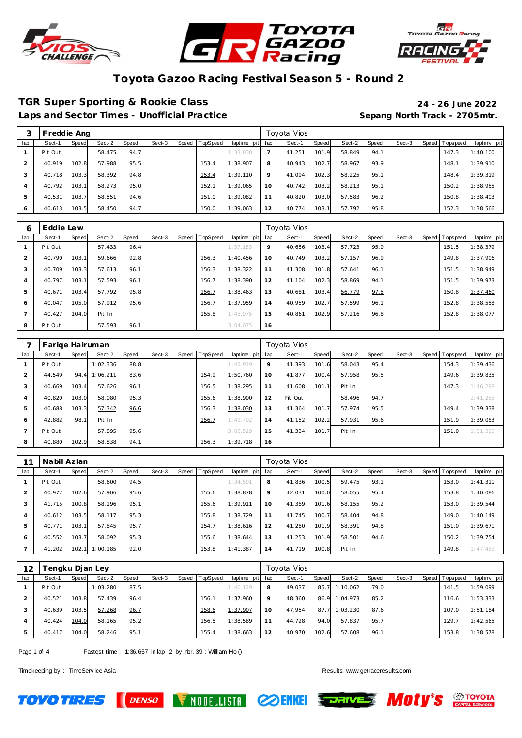





#### **TGR Super Sporting & Rookie Class 24 - 26 June 2022**

Laps and Sector Times - Unofficial Practice **Sepang North Track - 2705mtr.** 

|     | Freddie Ang |       |        |       |        |       |                 |             |         | Toyota Vios |       |        |       |        |                   |             |
|-----|-------------|-------|--------|-------|--------|-------|-----------------|-------------|---------|-------------|-------|--------|-------|--------|-------------------|-------------|
| lap | Sect-1      | Speed | Sect-2 | Speed | Sect-3 | Speed | <b>TopSpeed</b> | laptime pit | lap     | Sect-1      | Speed | Sect-2 | Speed | Sect-3 | Speed   Tops peed | laptime pit |
|     | Pit Out     |       | 58.475 | 94.7  |        |       |                 | 1:33.830    |         | 41.251      | 101.9 | 58.849 | 94.1  |        | 147.3             | 1:40.100    |
|     | 40.919      | 102.8 | 57.988 | 95.5  |        |       | 153.4           | 1:38.907    | 8       | 40.943      | 102.7 | 58.967 | 93.9  |        | 148.1             | 1:39.910    |
|     | 40.718      | 103.3 | 58.392 | 94.8  |        |       | 153.4           | 1:39.110    | $\circ$ | 41.094      | 102.3 | 58.225 | 95.1  |        | 148.4             | 1:39.319    |
| 4   | 40.792      | 103.1 | 58.273 | 95.0  |        |       | 152.1           | 1:39.065    | 10      | 40.742      | 103.2 | 58.213 | 95.1  |        | 150.2             | 1:38.955    |
| 5   | 40.531      | 103.7 | 58.551 | 94.6  |        |       | 151.0           | 1:39.082    | 11      | 40.820      | 103.0 | 57.583 | 96.2  |        | 150.8             | 1:38.403    |
| 6   | 40.613      | 103.5 | 58.450 | 94.7  |        |       | 150.0           | 1:39.063    | 12      | 40.774      | 103.1 | 57.792 | 95.8  |        | 152.3             | 1:38.566    |

| 6   | Eddie Lew |       |        |       |        |       |                 |             |     | Toyota Vios |       |        |       |        |                  |             |
|-----|-----------|-------|--------|-------|--------|-------|-----------------|-------------|-----|-------------|-------|--------|-------|--------|------------------|-------------|
| lap | Sect-1    | Speed | Sect-2 | Speed | Sect-3 | Speed | <b>TopSpeed</b> | laptime pit | lap | Sect-1      | Speed | Sect-2 | Speed | Sect-3 | Speed   Topspeed | laptime pit |
|     | Pit Out   |       | 57.433 | 96.4  |        |       |                 | 1:37.153    | 9   | 40.656      | 103.4 | 57.723 | 95.9  |        | 151.5            | 1:38.379    |
| 2   | 40.790    | 103.1 | 59.666 | 92.8  |        |       | 156.3           | 1:40.456    | 10  | 40.749      | 103.2 | 57.157 | 96.9  |        | 149.8            | 1:37.906    |
| 3   | 40.709    | 103.3 | 57.613 | 96.1  |        |       | 156.3           | 1:38.322    | 11  | 41.308      | 101.8 | 57.641 | 96.1  |        | 151.5            | 1:38.949    |
| 4   | 40.797    | 103.1 | 57.593 | 96.1  |        |       | 156.7           | 1:38.390    | 12  | 41.104      | 102.3 | 58.869 | 94.1  |        | 151.5            | 1:39.973    |
| 5   | 40.671    | 103.4 | 57.792 | 95.8  |        |       | 156.7           | 1:38.463    | 13  | 40.681      | 103.4 | 56.779 | 97.5  |        | 150.8            | 1:37.460    |
| 6   | 40.047    | 105.0 | 57.912 | 95.6  |        |       | 156.7           | 1:37.959    | 14  | 40.959      | 102.7 | 57.599 | 96.1  |        | 152.8            | 1:38.558    |
|     | 40.427    | 104.0 | Pit In |       |        |       | 155.8           | 1:45.975    | 15  | 40.861      | 102.9 | 57.216 | 96.8  |        | 152.8            | 1:38.077    |
| 8   | Pit Out   |       | 57.593 | 96.1  |        |       |                 | 3:04.075    | 16  |             |       |        |       |        |                  |             |

|                | Farige Hairuman |       |          |       |        |                |             |     | Toyota Vios |       |        |       |        |       |           |             |
|----------------|-----------------|-------|----------|-------|--------|----------------|-------------|-----|-------------|-------|--------|-------|--------|-------|-----------|-------------|
| lap            | Sect-1          | Speed | Sect-2   | Speed | Sect-3 | Speed TopSpeed | laptime pit | lap | Sect-1      | Speed | Sect-2 | Speed | Sect-3 | Speed | Tops peed | laptime pit |
|                | Pit Out         |       | 1:02.336 | 88.8  |        |                | 1:45.919    | 9   | 41.393      | 101.6 | 58.043 | 95.4  |        |       | 154.3     | 1:39.436    |
| 2              | 44.549          | 94.4  | 1:06.211 | 83.6  |        | 154.9          | 1:50.760    | 10  | 41.877      | 100.4 | 57.958 | 95.5  |        |       | 149.6     | 1:39.835    |
| 3              | 40.669          | 103.4 | 57.626   | 96.1  |        | 156.5          | 1:38.295    | 11  | 41.608      | 101.1 | Pit In |       |        |       | 147.3     | 1:46.298    |
| $\overline{4}$ | 40.820          | 103.0 | 58.080   | 95.3  |        | 155.6          | 1:38.900    | 12  | Pit Out     |       | 58.496 | 94.7  |        |       |           | 2:41.255    |
| 5              | 40.688          | 103.3 | 57.342   | 96.6  |        | 156.3          | 1:38.030    | 13  | 41.364      | 101.7 | 57.974 | 95.5  |        |       | 149.4     | 1:39.338    |
| 6              | 42.882          | 98.1  | Pit In   |       |        | 156.7          | 1:49.792    | 14  | 41.152      | 102.2 | 57.931 | 95.6  |        |       | 151.9     | 1:39.083    |
| $\overline{7}$ | Pit Out         |       | 57.895   | 95.6  |        |                | 3:08.519    | 15  | 41.334      | 101.7 | Pit In |       |        |       | 151.0     | 1:51.390    |
| 8              | 40.880          | 102.9 | 58.838   | 94.1  |        | 156.3          | 1:39.718    | 16  |             |       |        |       |        |       |           |             |

|                | Nabil Azlan |       |          |       |        |       |          |             |     | Toyota Vios |       |        |       |        |                |             |
|----------------|-------------|-------|----------|-------|--------|-------|----------|-------------|-----|-------------|-------|--------|-------|--------|----------------|-------------|
| lap            | Sect-1      | Speed | Sect-2   | Speed | Sect-3 | Speed | TopSpeed | laptime pit | lap | Sect-1      | Speed | Sect-2 | Speed | Sect-3 | Speed Topspeed | laptime pit |
|                | Pit Out     |       | 58.600   | 94.5  |        |       |          | 1:34.501    | 8   | 41.836      | 100.5 | 59.475 | 93.1  |        | 153.0          | 1:41.311    |
| $\overline{2}$ | 40.972      | 102.6 | 57.906   | 95.6  |        |       | 155.6    | 1:38.878    | 9   | 42.031      | 100.0 | 58.055 | 95.4  |        | 153.8          | 1:40.086    |
| 3              | 41.715      | 100.8 | 58.196   | 95.1  |        |       | 155.6    | 1:39.911    | 10  | 41.389      | 101.6 | 58.155 | 95.2  |        | 153.0          | 1:39.544    |
| $\overline{4}$ | 40.612      | 103.5 | 58.117   | 95.3  |        |       | 155.8    | 1:38.729    | 11  | 41.745      | 100.7 | 58.404 | 94.8  |        | 149.0          | 1:40.149    |
| 5              | 40.771      | 103.1 | 57.845   | 95.7  |        |       | 154.7    | 1:38.616    | 12  | 41.280      | 101.9 | 58.391 | 94.8  |        | 151.0          | 1:39.671    |
| 6              | 40.552      | 103.7 | 58.092   | 95.3  |        |       | 155.6    | 1:38.644    | 13  | 41.253      | 101.9 | 58.501 | 94.6  |        | 150.2          | 1:39.754    |
|                | 41.202      | 102.1 | 1:00.185 | 92.0  |        |       | 153.8    | 1:41.387    | 14  | 41.719      | 100.8 | Pit In |       |        | 149.8          | 1:47.459    |

| 12  |         |       | 'engku Djan Ley |       |        |                |             |     | Toyota Vios |       |          |       |        |                |             |
|-----|---------|-------|-----------------|-------|--------|----------------|-------------|-----|-------------|-------|----------|-------|--------|----------------|-------------|
| lap | Sect-1  | Speed | Sect-2          | Speed | Sect-3 | Speed TopSpeed | laptime pit | lap | Sect-1      | Speed | Sect-2   | Speed | Sect-3 | Speed Topspeed | laptime pit |
|     | Pit Out |       | 1:03.280        | 87.5  |        |                | 1:40.129    | 8   | 49.037      | 85.7  | 1:10.062 | 79.0  |        | 141.5          | 1:59.099    |
|     | 40.521  | 103.8 | 57.439          | 96.4  |        | 156.1          | 1:37.960    | 9   | 48.360      | 86.9  | 1:04.973 | 85.2  |        | 116.6          | 1:53.333    |
|     | 40.639  | 103.5 | 57.268          | 96.7  |        | 158.6          | 1:37.907    | 10  | 47.954      | 87.7  | 1:03.230 | 87.6  |        | 107.0          | 1:51.184    |
|     | 40.424  | 104.0 | 58.165          | 95.2  |        | 156.5          | 1:38.589    | 11  | 44.728      | 94.0  | 57.837   | 95.7  |        | 129.7          | 1:42.565    |
|     | 40.417  | 104.0 | 58.246          | 95.1  |        | 155.4          | 1:38.663    | 12  | 40.970      | 102.6 | 57.608   | 96.1  |        | 153.8          | 1:38.578    |

Page 1 of 4 Fastest time : 1:36.657 in lap 2 by nbr. 39 : William Ho ()

**DENSO** 

Timekeeping by : TimeServ ice Asia Results: <www.getraceresults.com>

**TOYO TIRES** 







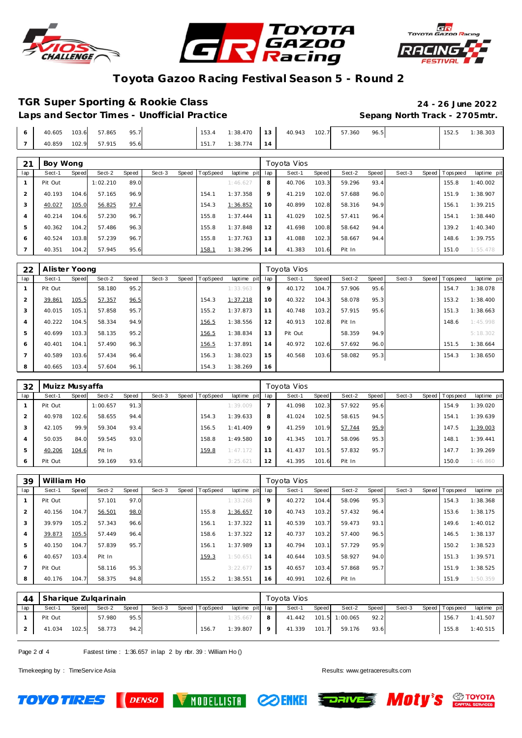





#### **TGR Super Sporting & Rookie Class 24 - 26 June 2022**

Laps and Sector Times - Unofficial Practice **Sepang North Track - 2705mtr.** 

| 40.605 | 103.6 | 57.865 | 95.7 | 153.4 | 1:38.470 | 12.1<br>ັ | 40.943 | 102.7 | 57.360 | 96.5 | 152.5 | 1:38.303 |
|--------|-------|--------|------|-------|----------|-----------|--------|-------|--------|------|-------|----------|
| 40.859 | 102.9 | 57.915 | 95.6 | 151.7 | 1:38.774 | 14 I      |        |       |        |      |       |          |

| 21             | Boy Wong |       |          |       |        |       |          |                 |    | Toyota Vios |       |        |       |        |                |             |
|----------------|----------|-------|----------|-------|--------|-------|----------|-----------------|----|-------------|-------|--------|-------|--------|----------------|-------------|
| lap            | Sect-1   | Speed | Sect-2   | Speed | Sect-3 | Speed | TopSpeed | laptime pit lap |    | Sect-1      | Speed | Sect-2 | Speed | Sect-3 | Speed Topspeed | laptime pit |
|                | Pit Out  |       | 1:02.210 | 89.0  |        |       |          | 1:46.627        | 8  | 40.706      | 103.3 | 59.296 | 93.4  |        | 155.8          | 1:40.002    |
| $\overline{2}$ | 40.193   | 104.6 | 57.165   | 96.9  |        |       | 154.1    | 1:37.358        | 9  | 41.219      | 102.0 | 57.688 | 96.0  |        | 151.9          | 1:38.907    |
| 3              | 40.027   | 105.0 | 56.825   | 97.4  |        |       | 154.3    | 1:36.852        | 10 | 40.899      | 102.8 | 58.316 | 94.9  |        | 156.1          | 1:39.215    |
| $\overline{4}$ | 40.214   | 104.6 | 57.230   | 96.7  |        |       | 155.8    | 1:37.444        | 11 | 41.029      | 102.5 | 57.411 | 96.4  |        | 154.1          | 1:38.440    |
| 5              | 40.362   | 104.2 | 57.486   | 96.3  |        |       | 155.8    | 1:37.848        | 12 | 41.698      | 100.8 | 58.642 | 94.4  |        | 139.2          | 1:40.340    |
| 6              | 40.524   | 103.8 | 57.239   | 96.7  |        |       | 155.8    | 1:37.763        | 13 | 41.088      | 102.3 | 58.667 | 94.4  |        | 148.6          | 1:39.755    |
|                | 40.351   | 104.2 | 57.945   | 95.6  |        |       | 158.1    | 1:38.296        | 14 | 41.383      | 101.6 | Pit In |       |        | 151.0          | 1:55.478    |

| 22  | Alister Yoong |              |        |       |        |       |          |             |     | Toyota Vios |       |        |       |        |                |             |
|-----|---------------|--------------|--------|-------|--------|-------|----------|-------------|-----|-------------|-------|--------|-------|--------|----------------|-------------|
| lap | Sect-1        | <b>Speed</b> | Sect-2 | Speed | Sect-3 | Speed | TopSpeed | laptime pit | lap | Sect-1      | Speed | Sect-2 | Speed | Sect-3 | Speed Topspeed | laptime pit |
|     | Pit Out       |              | 58.180 | 95.2  |        |       |          | 1:33.963    | 9   | 40.172      | 104.7 | 57.906 | 95.6  |        | 154.7          | 1:38.078    |
|     | 39.861        | 105.5        | 57.357 | 96.5  |        |       | 154.3    | 1:37.218    | 10  | 40.322      | 104.3 | 58.078 | 95.3  |        | 153.2          | 1:38.400    |
| 3   | 40.015        | 105.1        | 57.858 | 95.7  |        |       | 155.2    | 1:37.873    | 11  | 40.748      | 103.2 | 57.915 | 95.6  |        | 151.3          | 1:38.663    |
| 4   | 40.222        | 104.5        | 58.334 | 94.9  |        |       | 156.5    | 1:38.556    | 12  | 40.913      | 102.8 | Pit In |       |        | 148.6          | 1:45.998    |
| 5   | 40.699        | 103.3        | 58.135 | 95.2  |        |       | 156.5    | 1:38.834    | 13  | Pit Out     |       | 58.359 | 94.9  |        |                | 5:18.302    |
| 6   | 40.401        | 104.1        | 57.490 | 96.3  |        |       | 156.5    | 1:37.891    | 14  | 40.972      | 102.6 | 57.692 | 96.0  |        | 151.5          | 1:38.664    |
|     | 40.589        | 103.6        | 57.434 | 96.4  |        |       | 156.3    | 1:38.023    | 15  | 40.568      | 103.6 | 58.082 | 95.3  |        | 154.3          | 1:38.650    |
| 8   | 40.665        | 103.4        | 57.604 | 96.1  |        |       | 154.3    | 1:38.269    | 16  |             |       |        |       |        |                |             |

| 32  | Muizz Musyaffa |       |          |       |        |                |             |     | Toyota Vios |       |        |       |        |                  |             |
|-----|----------------|-------|----------|-------|--------|----------------|-------------|-----|-------------|-------|--------|-------|--------|------------------|-------------|
| lap | Sect-1         | Speed | Sect-2   | Speed | Sect-3 | Speed TopSpeed | laptime pit | lap | Sect-1      | Speed | Sect-2 | Speed | Sect-3 | Speed   Topspeed | laptime pit |
|     | Pit Out        |       | 1:00.657 | 91.3  |        |                | 1:39.009    |     | 41.098      | 102.3 | 57.922 | 95.6  |        | 154.9            | 1:39.020    |
| 2   | 40.978         | 102.6 | 58.655   | 94.4  |        | 154.3          | 1:39.633    | 8   | 41.024      | 102.5 | 58.615 | 94.5  |        | 154.7            | 1:39.639    |
| 3   | 42.105         | 99.9  | 59.304   | 93.4  |        | 156.5          | 1: 41.409   | 9   | 41.259      | 101.9 | 57.744 | 95.9  |        | 147.5            | 1:39.003    |
| 4   | 50.035         | 84.0  | 59.545   | 93.0  |        | 158.8          | 1:49.580    | 10  | 41.345      | 101.7 | 58.096 | 95.3  |        | 148.1            | 1:39.441    |
| 5   | 40.206         | 104.6 | Pit In   |       |        | 159.8          | 1:47.172    | 11  | 41.437      | 101.5 | 57.832 | 95.7  |        | 147.7            | 1:39.269    |
| 6   | Pit Out        |       | 59.169   | 93.6  |        |                | 3:25.621    | 12  | 41.395      | 101.6 | Pit In |       |        | 150.0            | 1:46.860    |

| 39  | William Ho |       |        |       |        |       |         |             |     | Toyota Vios |       |        |       |        |       |           |             |
|-----|------------|-------|--------|-------|--------|-------|---------|-------------|-----|-------------|-------|--------|-------|--------|-------|-----------|-------------|
| lap | Sect-1     | Speed | Sect-2 | Speed | Sect-3 | Speed | opSpeed | laptime pit | lap | Sect-1      | Speed | Sect-2 | Speed | Sect-3 | Speed | Tops peed | laptime pit |
|     | Pit Out    |       | 57.101 | 97.0  |        |       |         | 1:33.268    | 9   | 40.272      | 104.4 | 58.096 | 95.3  |        |       | 154.3     | 1:38.368    |
| 2   | 40.156     | 104.7 | 56.501 | 98.0  |        |       | 155.8   | 1:36.657    | 10  | 40.743      | 103.2 | 57.432 | 96.4  |        |       | 153.6     | 1:38.175    |
| 3   | 39.979     | 105.2 | 57.343 | 96.6  |        |       | 156.1   | 1:37.322    | 11  | 40.539      | 103.7 | 59.473 | 93.1  |        |       | 149.6     | 1:40.012    |
| 4   | 39.873     | 105.5 | 57.449 | 96.4  |        |       | 158.6   | 1:37.322    | 12  | 40.737      | 103.2 | 57.400 | 96.5  |        |       | 146.5     | 1:38.137    |
| 5   | 40.150     | 104.7 | 57.839 | 95.7  |        |       | 156.1   | 1:37.989    | 13  | 40.794      | 103.1 | 57.729 | 95.9  |        |       | 150.2     | 1:38.523    |
| 6   | 40.657     | 103.4 | Pit In |       |        |       | 159.3   | 1:50.651    | 14  | 40.644      | 103.5 | 58.927 | 94.0  |        |       | 151.3     | 1:39.571    |
|     | Pit Out    |       | 58.116 | 95.3  |        |       |         | 3:22.677    | 15  | 40.657      | 103.4 | 57.868 | 95.7  |        |       | 151.9     | 1:38.525    |
| 8   | 40.176     | 104.7 | 58.375 | 94.8  |        |       | 155.2   | 1:38.551    | 16  | 40.991      | 102.6 | Pit In |       |        |       | 151.9     | 1:50.359    |

| 44  |         |       | Sharique Zulgarinain |       |        |                |                 |     | Tovota Vios |       |                |       |        |                 |             |
|-----|---------|-------|----------------------|-------|--------|----------------|-----------------|-----|-------------|-------|----------------|-------|--------|-----------------|-------------|
| lap | Sect-1  | Speed | Sect-2               | Speed | Sect-3 | Speed TopSpeed | laptime pit lap |     | Sect-1      | Speed | Sect-2         | Speed | Sect-3 | Speed Tops peed | laptime pit |
|     | Pit Out |       | 57.980               | 95.5  |        |                | 1:35.667        |     | 41.442      |       | 101.5 1:00.065 | 92.2  |        | 156.7           | 1: 41.507   |
|     | 41.034  | 102.5 | 58.773               | 94.2  |        | 156.7          | 1:39.807        | - 9 | 41.339      | 101.7 | 59.176         | 93.6  |        | 155.8           | 1:40.515    |

Page 2 of 4 Fastest time : 1:36.657 in lap 2 by nbr. 39 : William Ho ()

**DENSO** 

Timekeeping by : TimeServ ice Asia Results: <www.getraceresults.com>

**TOYO TIRES** 







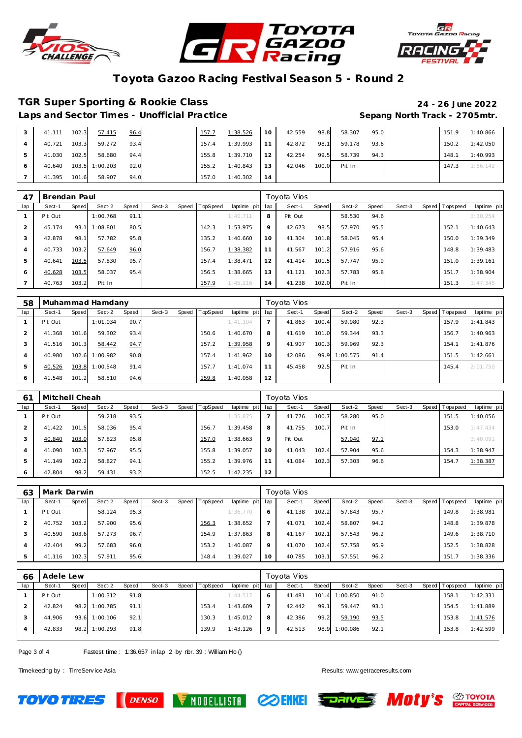





# **TGR Super Sporting & Rookie Class 24 - 26 June 2022**

Laps and Sector Times - Unofficial Practice **Sepang North Track - 2705mtr.** 

| 41.111 | 102.3 | 57.415         | 96.4 | 157.7 | 1:38.526 | 10 | 42.559 | 98.8  | 58.307 | 95.0 | 151.9 | 1:40.866 |
|--------|-------|----------------|------|-------|----------|----|--------|-------|--------|------|-------|----------|
| 40.721 | 103.3 | 59.272         | 93.4 | 157.4 | 1:39.993 |    | 42.872 | 98.   | 59.178 | 93.6 | 150.2 | 1:42.050 |
| 41.030 | 102.5 | 58.680         | 94.4 | 155.8 | 1:39.710 | 12 | 42.254 | 99.5  | 58.739 | 94.3 | 148.1 | 1:40.993 |
| 40.640 |       | 103.5 1:00.203 | 92.0 | 155.2 | 1:40.843 | 13 | 42.046 | 100.0 | Pit In |      | 147.3 | 1:56.142 |
| 41.395 | 101.6 | 58.907         | 94.0 | 157.0 | 1:40.302 | 14 |        |       |        |      |       |          |

| 47             | Brendan Paul |       |          |       |        |       |          |             | Toyota Vios |         |       |        |       |        |  |                |             |  |
|----------------|--------------|-------|----------|-------|--------|-------|----------|-------------|-------------|---------|-------|--------|-------|--------|--|----------------|-------------|--|
| lap            | Sect-1       | Speed | Sect-2   | Speed | Sect-3 | Speed | TopSpeed | laptime pit | lap         | Sect-1  | Speed | Sect-2 | Speed | Sect-3 |  | Speed Topspeed | laptime pit |  |
|                | Pit Out      |       | 1:00.768 | 91.1  |        |       |          | 1:40.711    | 8           | Pit Out |       | 58.530 | 94.6  |        |  |                | 3:30.254    |  |
| 2              | 45.174       | 93.7  | 1:08.801 | 80.5  |        |       | 142.3    | 1:53.975    | $\mathsf Q$ | 42.673  | 98.5  | 57.970 | 95.5  |        |  | 152.1          | 1:40.643    |  |
| 3              | 42.878       | 98.1  | 57.782   | 95.8  |        |       | 135.2    | 1:40.660    | 10          | 41.304  | 101.8 | 58.045 | 95.4  |        |  | 150.0          | 1:39.349    |  |
| $\overline{4}$ | 40.733       | 103.2 | 57.649   | 96.0  |        |       | 156.7    | 1:38.382    | 11          | 41.567  | 101.2 | 57.916 | 95.6  |        |  | 148.8          | 1:39.483    |  |
| 5              | 40.641       | 103.5 | 57.830   | 95.7  |        |       | 157.4    | 1:38.471    | 12          | 41.414  | 101.5 | 57.747 | 95.9  |        |  | 151.0          | 1:39.161    |  |
| 6              | 40.628       | 103.5 | 58.037   | 95.4  |        |       | 156.5    | 1:38.665    | 13          | 41.121  | 102.3 | 57.783 | 95.8  |        |  | 151.7          | 1:38.904    |  |
|                | 40.763       | 103.2 | Pit In   |       |        |       | 157.9    | 1:45.216    | 14          | 41.238  | 102.0 | Pit In |       |        |  | 151.3          | 1:47.345    |  |

| 58  |         |       | Muhammad Hamdany |       |        |                |             | Toyota Vios |        |       |          |       |        |       |          |             |  |  |
|-----|---------|-------|------------------|-------|--------|----------------|-------------|-------------|--------|-------|----------|-------|--------|-------|----------|-------------|--|--|
| lap | Sect-1  | Speed | Sect-2           | Speed | Sect-3 | Speed TopSpeed | laptime pit | lap         | Sect-1 | Speed | Sect-2   | Speed | Sect-3 | Speed | Topspeed | laptime pit |  |  |
|     | Pit Out |       | 1:01.034         | 90.7  |        |                | 1:41.104    |             | 41.863 | 100.4 | 59.980   | 92.3  |        |       | 157.9    | 1:41.843    |  |  |
|     | 41.368  | 101.6 | 59.302           | 93.4  |        | 150.6          | 1:40.670    | 8           | 41.619 | 101.0 | 59.344   | 93.3  |        |       | 156.7    | 1:40.963    |  |  |
| 3   | 41.516  | 101.3 | 58.442           | 94.7  |        | 157.2          | 1:39.958    | 9           | 41.907 | 100.3 | 59.969   | 92.3  |        |       | 154.1    | 1:41.876    |  |  |
| 4   | 40.980  | 102.6 | 1:00.982         | 90.8  |        | 157.4          | 1:41.962    | 10          | 42.086 | 99.9  | 1:00.575 | 91.4  |        |       | 151.5    | 1:42.661    |  |  |
| 5   | 40.526  | 103.8 | 1:00.548         | 91.4  |        | 157.7          | 1:41.074    | 11          | 45.458 | 92.5  | Pit In   |       |        |       | 145.4    | 2:01.750    |  |  |
| 6   | 41.548  | 101.2 | 58.510           | 94.6  |        | 159.8          | 1:40.058    | 12          |        |       |          |       |        |       |          |             |  |  |

| 61             | Mitchell Cheah |       |        |       |        |       |          |             | Toyota Vios |         |       |        |       |        |  |                 |             |  |  |
|----------------|----------------|-------|--------|-------|--------|-------|----------|-------------|-------------|---------|-------|--------|-------|--------|--|-----------------|-------------|--|--|
| lap            | Sect-1         | Speed | Sect-2 | Speed | Sect-3 | Speed | TopSpeed | laptime pit | lap         | Sect-1  | Speed | Sect-2 | Speed | Sect-3 |  | Speed Tops peed | laptime pit |  |  |
|                | Pit Out        |       | 59.218 | 93.5  |        |       |          | 1:35.875    |             | 41.776  | 100.7 | 58.280 | 95.0  |        |  | 151.5           | 1:40.056    |  |  |
| 2              | 41.422         | 101.5 | 58.036 | 95.4  |        |       | 156.     | 1:39.458    | 8           | 41.755  | 100.7 | Pit In |       |        |  | 153.0           | 1:47.434    |  |  |
| 3              | 40.840         | 103.0 | 57.823 | 95.8  |        |       | 157.0    | 1:38.663    | 9           | Pit Out |       | 57.040 | 97.1  |        |  |                 | 3:40.091    |  |  |
| $\overline{4}$ | 41.090         | 102.3 | 57.967 | 95.5  |        |       | 155.8    | 1:39.057    | 10          | 41.043  | 102.4 | 57.904 | 95.6  |        |  | 154.3           | 1:38.947    |  |  |
| 5              | 41.149         | 102.2 | 58.827 | 94.1  |        |       | 155.2    | 1:39.976    | 11          | 41.084  | 102.3 | 57.303 | 96.6  |        |  | 154.7           | 1:38.387    |  |  |
| 6              | 42.804         | 98.2  | 59.431 | 93.2  |        |       | 152.5    | 1:42.235    | 12          |         |       |        |       |        |  |                 |             |  |  |

| 63  | Mark Darwin |       |        |       |        |       |          |                 | Toyota Vios |        |       |        |       |        |  |                |             |  |  |
|-----|-------------|-------|--------|-------|--------|-------|----------|-----------------|-------------|--------|-------|--------|-------|--------|--|----------------|-------------|--|--|
| lap | Sect-1      | Speed | Sect-2 | Speed | Sect-3 | Speed | TopSpeed | laptime pit lap |             | Sect-1 | Speed | Sect-2 | Speed | Sect-3 |  | Speed Topspeed | laptime pit |  |  |
|     | Pit Out     |       | 58.124 | 95.3  |        |       |          | 1:36.770        | 6           | 41.138 | 102.2 | 57.843 | 95.7  |        |  | 149.8          | 1:38.981    |  |  |
|     | 40.752      | 103.2 | 57.900 | 95.6  |        |       | 156.3    | 1:38.652        |             | 41.071 | 102.4 | 58.807 | 94.2  |        |  | 148.8          | 1:39.878    |  |  |
|     | 40.590      | 103.6 | 57.273 | 96.7  |        |       | 154.9    | 1:37.863        | 8           | 41.167 | 102.1 | 57.543 | 96.2  |        |  | 149.6          | 1:38.710    |  |  |
|     | 42.404      | 99.2  | 57.683 | 96.0  |        |       | 153.2    | 1:40.087        | $\circ$     | 41.070 | 102.4 | 57.758 | 95.9  |        |  | 152.5          | 1:38.828    |  |  |
|     | 41.116      | 102.3 | 57.911 | 95.6  |        |       | 148.4    | 1:39.027        | 10          | 40.785 | 103.1 | 57.551 | 96.2  |        |  | 151.           | 1:38.336    |  |  |

| 66  | Adele Lew |       |          |              |        |                |                 | Toyota Vios |        |       |          |       |        |  |                |             |  |
|-----|-----------|-------|----------|--------------|--------|----------------|-----------------|-------------|--------|-------|----------|-------|--------|--|----------------|-------------|--|
| lap | Sect-1    | Speed | Sect-2   | <b>Speed</b> | Sect-3 | Speed TopSpeed | laptime pit lap |             | Sect-1 | Speed | Sect-2   | Speed | Sect-3 |  | Speed Topspeed | laptime pit |  |
|     | Pit Out   |       | 1:00.312 | 91.8         |        |                | 1:44.517        | 6           | 41.481 | 101.4 | 1:00.850 | 91.0  |        |  | <u>158.1</u>   | 1:42.331    |  |
|     | 42.824    | 98.2  | 1:00.785 | 91.1         |        | 153.4          | 1:43.609        |             | 42.442 | 99.1  | 59.447   | 93.1  |        |  | 154.5          | 1:41.889    |  |
|     | 44.906    | 93.6  | 1:00.106 | 92.1         |        | 130.3          | 1:45.012        | 8           | 42.386 | 99.2  | 59.190   | 93.5  |        |  | 153.8          | 1:41.576    |  |
|     | 42.833    | 98.2  | 1:00.293 | 91.8         |        | 139.9          | 1:43.126        | 9           | 42.513 | 98.9  | 1:00.086 | 92.1  |        |  | 153.8          | 1:42.599    |  |
|     |           |       |          |              |        |                |                 |             |        |       |          |       |        |  |                |             |  |

Page 3 of 4 Fastest time : 1:36.657 in lap 2 by nbr. 39 : William Ho ()

**DENSO** 

Timekeeping by : TimeServ ice Asia Results: <www.getraceresults.com>